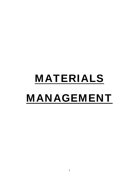# MATERIALS MANAGEMENT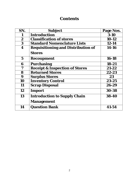# **Contents**

| SN.              | <b>Subject</b>                            | Page Nos. |
|------------------|-------------------------------------------|-----------|
| 1                | <b>Introduction</b>                       | $3 - 10$  |
| $\boldsymbol{2}$ | <b>Classification of stores</b>           | $10-12$   |
| $\bf{3}$         | <b>Standard Nomenclature Lists</b>        | $12 - 14$ |
| 4                | <b>Requisitioning and Distribution of</b> | 14-16     |
|                  | <b>Stores</b>                             |           |
| $\mathbf 5$      | <b>Recoupment</b>                         | 16-18     |
| 6                | <b>Purchasing</b>                         | $18 - 21$ |
| 7                | <b>Receipt &amp; Inspection of Stores</b> | $21 - 22$ |
| 8                | <b>Returned Stores</b>                    | 22-23     |
| 9                | <b>Surplus Stores</b>                     | 23        |
| 10               | <b>Inventory Control</b>                  | $23 - 25$ |
| 11               | <b>Scrap Disposal</b>                     | 26-29     |
| 12               | Import                                    | 30-38     |
| 13               | <b>Introduction to Supply Chain</b>       | 38-40     |
|                  | <b>Management</b>                         |           |
| 14               | <b>Question Bank</b>                      | 41-54     |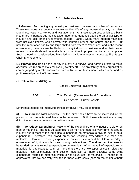# **1.0 Introduction**

**1.1 General:** For running any industry or business, we need a number of resources. These resources are popularly known as five M's of any Industrial activity i.e. Men, Machines, Materials, Money and Management. All these resources, which are basic inputs, are important but their relative importance depends upon the particular type of industry and also other environmental factors. Earlier, when many modern machines were not even known, whole activity was centered around one source, the men. But now the importance has by and large shifted from "men" to "machines" and in the recent environment, materials are the life blood of any industry or business and for their proper running, materials should be available at proper time in proper quantity at proper place. Such compelling considerations have led to holistic management concepts like Supply Chain Management.

**1.2 Profitability:** Basic goals of any industry are survival and earning profits to make adequate returns on capital employed (Investment). The profitability of any organization can be judged by a ratio known as "Rate of Return on Investment", which is defined as profit earned per unit of investment-

i.e. Rate of Return (ROR) = 
$$
\overline{Capital \, Emploved (Investment)}
$$
\n
$$
ROR = Total \, Receipt (Revenue) - Total \, Expenditure
$$
\n
$$
Fixed \, Assets + Current \, Assets
$$

Different strategies for improving profitability (ROR) may be as under:-

**(i) To increase total receipts:** For this either sales have to be increased or the prices of the products sold have to be increased. Both these alternative are very difficult to achieve in present competitive market.

**(ii) To reduce Expenditure:** Majority of the expenditure of any industry is either on men or materials. The relative expenditure on men and materials vary from industry to industry but in most of the industries' expenditure on materials is 45% to 70% of total expenditure. Therefore, two broad areas for reducing expenditure are men and materials. However, reducing expenditure on men is a very difficult task in today's environment of tight labour laws and strong trade unions. Therefore the other area to be tackled remains reducing expenditure on materials. When we talk of expenditure on materials, it is relevant to point out here that there are two types of costs related to materials- "cost of materials" and "cost on materials" i.e. there is always some extra expenditure related to materials which is not actual cost of materials. It needs to be appreciated that we can very well tackle these extra costs (cost on materials) without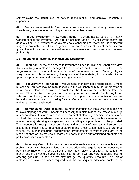compromising the actual level of service (consumption) and achieve reduction in expenditure.

**(iii) Reduce investment in fixed assets:** As investment has already been made, there is very little scope for reducing expenditure on fixed assets.

**(iv) Reduce investment in Current Assets:** Current assets consist of mainly working capital and inventory. As a rough estimate, about 40% of current assets are generally tied up in inventories of raw materials, consumables, materials under different stages of production and finished goods. If we could reduce stocks of these different types of inventories, we can very well reduce investments in current assets and improve profitability.

# **1.3 Functions of Materials Management Department**

**(i) Planning:** For materials there is invariably a need for planning. Apart from dayto-day activity a materials manager keeps a watch on the future activities of the organization, which may call for specific items' procurement in turn. Planning plays a very important role in assessing the quantity of the material, funds availability for purchase/procurement and selecting the right source for supply.

**(ii) Procurement / Purchasing:** Procurement of an item does not necessarily mean purchasing. An item may be manufactured in the workshop or may be got transferred from another place as available. Alternatively, the item may be purchased from the market. There are two basic types of purchasing in business world - Purchasing for resale and purchasing for manufacturing or consumption. In our organization we are basically concerned with purchasing for manufacturing process or for consumption for maintenance and repair work.

**(iii) Warehousing (Store-keeping):** To make materials available when required and to avoid stoppage of work, it becomes necessary to maintain adequate stocks of a large number of items. It involves a considerable amount of planning to decide the items to be stocked, the locations where these stocks are to be maintained, such as warehouses (stores depots), stacking arrangements and handling equipments etc. to be provided. The procedure for receipt, inspection, issue and accountal of materials and so on have also to be in place. Proper methods of stocking and "preservation techniques" are to be thought of. In manufacturing organizations arrangements of warehousing are to be made not only for raw materials, spares and consumables but for finished products and partly processed materials as well.

**(iv) Inventory Control:** To maintain stocks of materials at the correct level is a tricky problem. For giving better services and to get price advantage it may be necessary to buy in bulk (Economy of scale). But this may mean blocking of substantial amount of money and the inventory carrying costs also go up. If we buy very frequently, cost of ordering goes up. In addition we may not get the quantity discounts. The risk of materials not available when required and the consequent additional costs to the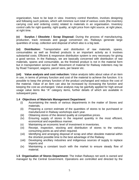organization, have to be kept in view. Inventory control therefore, involves designing and following such policies, which will minimize sum total of various costs (the inventory carrying cost and ordering costs) related to materials in an organisation. Inventory control calls for right quantity, right quality, at right price from right source, at right place, at right time.

**(v) Surplus / Obsolete / Scrap Disposal:** During the process of manufacturing, production, track renewals and gauge conversion etc. Railways generate large quantities of scrap, collection and disposal of which also is a big task.

**(vi) Distribution:** Transportation and distribution of raw materials, spares, consumables as well as finished products is an important activity as it involves substantial costs. Efficient & responsive distribution system is very necessary for giving a good service. In the Railways, we are basically concerned with distribution of raw materials, spares and consumable, as the finished product is not in the material form but in transportation service itself. Movement of material for Railway indenters may be by Road Transport, wagons, parcel vans, per bearer etc.

**(vii) Value analysis and cost reduction:** Value analysis talks about value of an item in use, in terms of primary function and cost of the material to achieve the function. It is possible to keep the primary function of the product unchanged and reduce the cost of the material. Value of an item can also be increased by increasing the function and keeping the cost as unchanged. Value analysis may be gainfully applied for high annual usage value items like "A" category items, further details of which are available in subsequent para.

#### **1.4 Objectives of Materials Management Department**

- (i) Ascertaining the needs of various departments in the matter of Stores and materials.
- (ii) Preparing a correct estimate of the quantities of stores to be purchased or manufactured in Railway workshops each year.
- (iii) Obtaining stores of the desired quality at competitive prices.
- (iv) Ensuring supply of stores in the required quantity in the most efficient, economical and expeditious manner.
- (v) Maintaining an economic level of investment in inventories.
- (vi) Receipt, inspection, stocking and distribution of stores to the various consuming points as and when required.
- (vii) Identifying and arranging disposal of scrap and other obsolete material within the shortest possible time to the best advantage of the Railway.
- (viii) Developing ancillary industries and indigenous sources of supply to replace imports and
- (ix) Maintaining a constant touch with the market to ensure steady flow of material.

**1.5 Organisation of Stores Department:** The Indian Railways net work is owned and managed by the Central Government. Operations are controlled and directed by the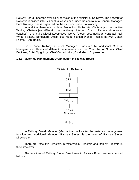Railway Board under the over-all supervision of the Minister of Railways. The network of Railways is divided into 17 zonal railways each under the control of a General Manager. Each Railway zone is organized on the divisional pattern of working.

In addition there are modern Production Units- viz. Chittaranjan Locomotive Works, Chittaranjan (Electric Locomotives); Integral Coach Factory (Integrated coaches), Chennai ; Diesel Locomotive Works (Diesel Locomotives), Varanasi; Rail Wheel Factory, Bengaluru; Diesel loco Modernisation Works, Patiala; Railway Coach Factory, Kapurthala.

On a Zonal Railway, General Manager is assisted by Additional General Managers and Heads of different departments such as Controller of Stores, Chief Engineer, Chief Optg. Mgr., Chief Comml. Mgr., Chief Mech. Engineer, etc.

#### **1.5.1 Materials Management Organisation in Railway Board**



(Fig. I)

 In Railway Board, Member (Mechanical) looks after the materials management function and Additional Member (Railway Stores) is the head of Railway Stores Directorate.

 There are Executive Directors, Directors/Joint Directors and Deputy Directors in this Directorate.

The functions of Railway Stores Directorate in Railway Board are summarized below:-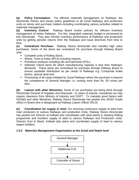**(a) Policy Formulation:** For efficient materials management on Railways, the directorate frames and issues policy guidelines to all Zonal Railways and production units on stores and purchase matters including coordinating various activities related to materials management.

**(b) Inventory Control**: Railway Board evolve policies for efficient inventory management of Indian Railways. For this, integrated materials budget is processed by this Directorate. They also monitor inventory performance of Railways and production units by getting periodic returns from the Railways and issue directives from time to time.

**(c) Centralized Purchase:** Railway Stores directorate also handles high value purchases. Some of the items are centralized for purchase through Railway Board only:-

- **Complete units of Rolling Stock,**
- Wheel, Tyres & Axles (WTA) including Imports,
- **Petroleum products including oils and lubricants (POL),**
- Selected critical items for which manufacturing capacity is less than Railways' demands. These items are centralized for purchase through Railway Board to ensure equitable distribution as per needs of Railways e.g. Composite brake blocks, special steel and
- **Processing of all cases initiated by Zonal Railways where the purchase is beyond** the competence of General Manager i.e. costing more than Rs. 50 crores per item.

**(d) Liaison with other Ministries:** Some of our purchases are being done through Directorate General of Supplies and Disposals. In cases of imports, sometimes we may require clearance from Ministry of Industry and DGFT. To maintain good liaison with DGS&D and other Ministries, Railway Stores Directorate has posted one JA/SG Grade officer in Board who is designated as Railway Liaison Officer (RLO).

**(e) Coordination for supply o**f **steel**: For ensuring continuous supply of steel from main producers to various Railways and production Units, Railway Stores Directorate has posted one Director at Kolkata who coordinates with steel plants in drawing Rolling programme and monitors supply of steel to various Railways and Production Units. Director (Iron & Steel), Kolkata also plans and coordinates supply of steel to various wagon builders.

# **1.5.2 Materials Management Organisation at the Zonal and Depot level**

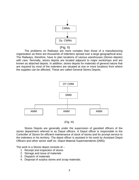

#### (Fig. II)

The problems on Railways are more complex than those of a manufacturing organisation as there are thousands of indenters spread over a large geographical area. The Railways, therefore, have to plan locations of various warehouses (Stores depots) with care. Normally, stores depots are located adjacent to major workshops and are known as attached depots. In addition, stores depots for materials of general nature that are required by most of the indenters are situated at one or more locations from where the supplies can be affected. These are called General Stores Depots.





Stores Depots are generally under the supervision of gazetted officers of the stores department referred to as Depot officers. A Depot officer is responsible to the Controller of Stores for efficient maintenance of stock of stores and for prompt service to the indenters in his territory. The depot officer is assisted in his work by Assistant Depot Officers and other senior staff viz. Depot Material Superintendents (DMS).

The work in a Stores depot consists of –

- 1. Receipt and inspection of stores
- 2. Storage and issue of materials
- 3. Dispatch of materials
- 4. Disposal of surplus stores and scrap materials.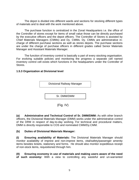The depot is divided into different wards and sections for stocking different types of materials and to deal with the work mentioned above.

The purchase function is centralized in the Zonal Headquarters i.e. the office of the Controller of stores except for items of small value those can be directly purchased by the executive officers and the depot officers. The Controller of Stores is assisted by Chief Materials Managers (CMMs) and Dy. CMMs. Dy. CMMs are administrative incharge of different purchase sections as well as stores depots. The purchase sections are under the charge of purchase officers in different grades called Senior Materials Manager and Assistant Materials Manager.

The function of inventory control is basically a part of every stocking organisation. For evolving suitable policies and monitoring the progress a separate cell named inventory control cell exists which functions in the headquarters under the Controller of Stores.

#### **1.5.3 Organization at Divisional level**



(Fig. IV)

**(a) Administrative and Technical Control of Sr. DMM/DMM:** As with other branch officers, the Divisional Materials Manager (DMM) works under the administrative control of the DRM in respect of day-to-day working. For technical and procedural matters, DMM is directly responsible to COS and nominated CMM/Dy.CMM.

#### **(b) Duties of Divisional Materials Manager:**

**(I) Ensuring availability of Materials:** The Divisional Materials Manager should monitor availability of imprest and non-imprest items, vital/safety/passenger amenity items besides tickets, stationery and forms. He should also monitor expeditious receipt of non-stock items, requisitioned through him.

**(II) Ensuring economy in use of materials and making users aware of the need of such econom***y:* With a view to controlling any wasteful and un-warranted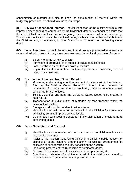consumption of material and also to keep the consumption of material within the budgetary provisions, he should take adequate steps.

**(III) Review of sanctioned imprest:** Regular inspection of the stocks available with imprest holders should be carried out by the Divisional Materials Manager to ensure that the imprest limits are realistic and are regularly reviewed/revised wherever necessary. The excess stocks should also be identified during such visits for further redistribution in the Divisions and, if necessary, to other Divisions or for return to the feeding stores depot.

**(IV) Local Purchase:** It should be ensured that stores are purchased at reasonable rates and following precautionary measures are taken during local purchase of stores-

- (i) Scrutiny of firms (Likely suppliers)
- (ii) Formation of approved list of suppliers, issue of bulletins etc.
- (iii) Local purchase as per the laid down procedure
- (iv) Physical verification of material on its receipt, before it is ultimately handed over to the consumer.

#### **(V) Distribution of material from Stores Depots:**

- (i) Monitoring and ensuring smooth movement of material within the division.
- (ii) Attending the Divisional Control Room from time to time to monitor the movement of material and sort out problems, if any by coordinating with concerned branch officers.
- (iii) To plan, develop and head the Divisional Stores Depot to be created in near future.
- (iv) Transportation and distribution of materials by road transport within the divisional jurisdiction.
- (v) Storage and distribution of direct delivery items.
- (vi) Identification of bulk items for storage within the Division for continuous availability so as to improve service levels.
- (vii) Co-ordination with feeding depots for timely distribution of stock items to consuming points.

# **(VI) Scrap Generation and Disposal:**

- (i) Identification and monitoring of scrap disposal on the division with a view to expedite the same.
- (ii) Assisting the Auction Conducting Officer in organising public auction for disposal of scrap including proper security as well as arrangement for collection of cash towards security deposits during auction.
- (iii) Monitoring progress of return of scrap to nominated depot.
- (iv) Disposal of low value items like waste paper, empty drums, etc.
- (v) Coordinating deliveries of sold line scrap within the division and attending to complaints and submission of completion reports.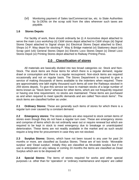(vi) Monitoring payment of Sales tax/Commercial tax, etc. to State Authorities by Sr.DENs on the scrap sold from the sites wherever such taxes are payable.

#### **1.6 Stores Depots**

For facility of work, there should ordinarily be (i) A locomotive depot attached to serve the main Loco workshop (ii) C&W stores depot attached to C&W shops (iii) Signal Stores Depot attached to Signal shops (iv) Electrical Stores Depot attached to Elect. Shops (v) P. Way depot for stocking P. Way & Bridge material (vi) Stationery depot (vii) Scrap yard (viii) General Stores Depot (ix) Electric Loco Stores Depot (x) Diesel Loco Stores Depot (xi) Printing Stores depot attached to Railway Printing Press.

# **2.0 Classification of stores**

All materials are basically divided into two broad categories viz. Stock and Non-Stock. The stock items are those items for which there is a regular demand, regular drawl or consumption and there is a regular recoupment. Non-stock items are required occasionally and not on regular basis. The Stores Department is required to give a service of making thousands of items available to the indenters when required. There are approximately one lakh eighty thousand such items all over the Railways stocked in 259 stores depots. To give this service we have to maintain stocks of a large number of items known as "Stock items" whereas for other items, which are not frequently required or having one time requirement, no stocks are maintained. These items are purchased as and when required to meet specific demands and are called "Non-stock items". The stock items are classified further as under.

**2.1 Ordinary Stores:** These are generally such items of stores for which there is a regular turn over caused by a constant demand.

**2.2 Emergency stores:** The stores depots are also required to stock certain items of stores even though they do not have a regular turn over. These are emergency stores and comprise of items which do not ordinarily wear out or require renewal but which are required to be kept in stock to meet emergency due to breakage or unanticipated deterioration. These items are not readily available in the market and as such would require a long time for procurement in case they are not stocked.

**2.3 Surplus Stores:** Stores, which have not been issued to any user for past 24 months or more, are classified as Surplus Stores. These are of two kinds- 'Moveable surplus' and 'Dead surplus'. Initially they are classified as Moveable surplus but if no use is anticipated on any railway in coming 24 months the items are classified as Dead Surplus which are to be disposed off.

**2.4 Special Stores:** The items of stores required for works and other special purposes i.e. other than for 'operation' or 'ordinary maintenance and repairs' are called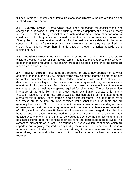"Special Stores". Generally such items are dispatched directly to the users without being stocked in a stores depot.

**2.5 Custody Stores:** Stores which have been purchased for special works and charged to such works but left in the custody of stores department are called custody stores. These stores chiefly consist of items obtained for the mechanical department for construction of rolling stock sanctioned under the capital or revenue programme. Directly the stores are received and paid for, the cost is at once debited to the works concerned. Instead of the stores lying in the workshops until they are required, the stores depot should keep them in safe custody, proper numerical records being maintained by it.

**2.6 Inactive stores:** Items which have no issues for last 12 months, and stocks exists are called inactive or non-moving items. It is left to the reader to think what will happen if all items required by the railway are made as stock items or all the items are made as non-stock items.

**2.7 Imprest Stores:** These items are required for day-to-day operation of services and maintenance of the activity. Imprest stores may be either charged off stores or may be kept in capital account head also. Certain important units like loco sheds, TXR depots etc. require a large number of items for day-to-day repeat use, maintenance and operation of rolling stock, etc. Such items include consumable stores like cotton waste, oils, greases etc. as well as the spares required for rolling stock. The senior supervisor in-charge of the unit like running sheds, train examination depots; Chief Signal Inspector, Electric Foreman etc. are allowed to maintain stocks of nominated items of stores for this purpose. These stores are called imprest stores. The limits up to which the stocks are to be kept are also specified while sanctioning such items and are generally fixed as 2 or 3 months requirement. Imprest stores is like a standing advance of materials to meet the day-to-day requirement of repairs, maintenance and operation of rolling stock etc. On most Railways the imprest stores are charged off to the final head of account under revenue working expenses. However, these units maintain detailed accounts and monthly imprest schedules are sent by the imprest holders to the nominated stores depot for bringing their stocks to the sanctioned imprest levels. This system of imprest stores is useful in ensuring continuous availability of items, which are important and regularly required for day-to-day maintenance and operation. In case of non-compliance of demand for imprest stores, it lapses whereas for ordinary requisitions, the demand is kept pending for compliance as and when the material is received.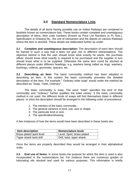# **3.0 Standard Nomenclature Lists**

The details of all items having possible use on Indian Railways are contained in booklets known as nomenclature lists. These books contain complete and unambiguous description of items, their code numbers (Known as Price List Numbers or PL Nos.), Specification or Drawing No., the unit of transaction and the depots on various Railways where the item is stocked. These details are elaborated further as under:

**3.1 Complete and unambiguous description:** The description of each item should be framed in such a way that it does not give rise to different interpretations. The objective behind is that the user should know what exactly he wants, the purchase officer should know what exactly is required to be purchased and the supplier in turn should know what is to be supplied. Otherwise the same item could be stocked at different places under different headings, e.g. washers being called as rings, washers, bushings, collects, grommets, spacers, etc.

**3.2 Describing an item:** The basic commodity method has been adopted in describing an item. In this system the basic commodity precedes the detailed description of the item. For example " Ordinary toilet soap" would under the method be described as "Soap, Toilet, Ordinary".

The basic commodity is soap. The word "toilet" specifies the kind of that commodity and "ordinary" further qualifies the toilet variety. It the basic commodity method is not used, the different kinds of soaps will find themselves listed in different places. In short the description should be arranged in the following order of precedence:

- 1. The mention of the basic commodity
- 2. The general variance in kind, use, size or shape
- 3. The particular kind or size.
- 4. The specification/drawing.

A few instances of how the items would have been described in these books are:

| <b>Item description</b>          | Nomenclature book           |
|----------------------------------|-----------------------------|
| <b>Brass plated spirit level</b> | Level, Spirit, brass plated |
| Taper shank twist drill          | Drill, twist, taper shank   |

Once the items are properly described they would be arranged in their alphabetical order.

**3.3 End use of items:** In some books the purpose for which the item is used is also incorporated in the nomenclature list. For instance there are numerous grades of lubricating oils stocked and used for various purposes. This information is briefly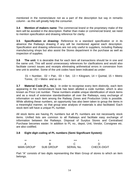mentioned in the nomenclature not as a part of the description but say in remarks column - as this will greatly help the consumer.

**3.4 Mention of makers name**: The commercial brand or the proprietary make of the item will be avoided in the description. Rather than make or commercial brand, we need to mention specification and drawing reference for clarity.

**3.5 Specification or drawing:** Reference to a standard specification or in its absence the Railways drawing if any will be mentioned against each description. Specification and drawing references are not only useful to suppliers, including Railway manufacturing shops but also assist the Stores department in the purchase as well as inspection of supplies.

**3.6 The unit:** It is desirable that for each item all transactions should be in one and the same unit. This will avoid unnecessary references for clarifications and would also facilitate correct issues and receipts eliminating arithmetical errors in conversion from one unit to another. Some of the unit codes have been indicated as under:

 $01$  = Number,  $02$  = Pair,  $03$  = Set,  $13$  = Kilogram,  $14$  = Quintal,  $15$  = Metric Tonne,  $22$  = Metre and so on.

**3.7 Material Code (P.L. No.):** In order to recognise every item distinctly, each item appearing in the nomenclature book has been allotted a code number, which is also known as Price List number. These numbers enable unique identification of stock items and as a result of extensive standardisation all over the Railways, easy exchange of information on each item among the Railway Zones and Production Units is possible. While allotting these numbers, an opportunity has also been taken to group the items in a meaningful manner, so that group wise analysis of materials is also facilitated. Each stock item will have a unique PL number.

All stock items are having PL numbers but all PL numbers are not necessarily stock items. Unified lists are common to all Railways and facilitate easy exchange of information between the Railways. Disposal of Surplus Stores and Centralised Purchase becomes easier. In addition to PL no., depot, Unit, Vendor, Consignee etc. are also codified.

# **3.8 Eight digit coding of PL numbers (Semi Significant System):**

| **                | **               | ***               |                    |
|-------------------|------------------|-------------------|--------------------|
|                   |                  |                   |                    |
| <b>MAIN GROUP</b> | <b>SUB GROUP</b> | <b>SERIAL No.</b> | <b>CHECK-DIGIT</b> |

Part "A" consists of two digits representing the Main Group of stores to which an item belongs.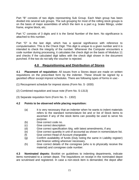Part "B" consists of two digits representing Sub Group. Each Main group has been divided into several sub groups. The sub grouping for most of the rolling stock groups is on the basis of major assemblies of which the item is a part e.g. brake fittings, under frame, engine block, etc.

Part "C' consists of 3 digits and it is the Serial Number of the item. No significance is attached to this number.

Part "D" is the last digit, which has a special significance with reference to computerisation. This is the Check Digit. This digit is unique to a given number and it is intended to check the integrity of the number. Whenever the Computer encounters a code number during processing, it calculates the check digit on the basis of Modulus 11 and checks if the calculated digit tallies with the check digit shown in the document punched. If the two do not tally the voucher is rejected.

# **4.0 Requisitioning and Distribution of Stores**

**4.1 Placement of requisition:** All issues from a Stores depot are made on written requisitions on the prescribed form by the indenter. These should be signed by a gazetted officer except imprest schedules. There are following types of forms in use:-

- (1) Recoupment schedule for imprest stores (Form No. S -1830)
- (2) Combined requisition and issue note (Form No. S-1313)
- (3) Separate requisition form (Form No. S 1302)

# **4.2 Points to be observed while placing requisition:**

- (a) It is very necessary that an indenter when he wants to indent materials refers to the standard nomenclature list and or list of Stock items to ascertain if any of the stock items can possibly be used to serve his purpose.
- (b) Give correct code no.
- (c) Give correct description
- (d) Give correct specification /drg. with latest amendments, if any
- (e) Give correct quantity in unit of accountal as shown in nomenclature list.
- (f) Give correct Head of Account chargeable
- (g) Confirm availability of funds (Duly noting the same in Liability register) and finance vetting wherever necessary.
- (h) Give correct details of the consignee (who is to physically receive the material) and consignee code number.

**4.3 Nominated depots:** Booklet on guidelines to indenting departments, indicate items nominated to a certain depot. The requisitions on receipt in the nominated depot are scrutinised and registered. In case a non-stock item is demanded, the depot after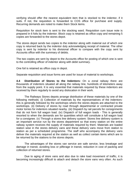verifying should offer the nearest equivalent item that is stocked to the indentor, if it suits. If not, the requisition is forwarded to COS office for purchase and supply. Recurring demands are noted to make them Stock items.

Requisition for stock item is sent to the stocking ward. Requisition cum issue note is prepared in 6 foils by the indentor. Block copy is retained as office copy and remaining 5 copies are forwarded to the stores depot.

The stores depot sends two copies to the indentor along with material out of which one copy is returned back by the indentor duly acknowledging receipt of material. The other copy is sent by indentor to his divisional officer to compare with the copy sent by Accounts office with the summary of debits.

The two copies are sent by depot to the Accounts office for posting of which one is sent to the controlling officer of indentor along with debit summary.

One foil is retained as office copy in depot.

Separate requisition and issue forms are used for issue of material to workshops.

**4.4 Distribution of Stores to the Indentors:** On a zonal railway there are thousands of indentors situated all along the railway line, hundreds of kilometers away from the supply point. It is very essential that materials required by these indentors are received by them regularly to avoid any dislocation in their work.

The Railways Stores depots arrange distribution of these materials by one of the following methods: (i) Collection of materials by the representatives of the indentorsthis is generally followed by the workshops where the stores depots are attached to the workshops. (ii) Delivery of stores by road through departmental or contracted private motor lorries for indentors situated nearby. (iii) Dispatch by rail parcels for consignments that do not form full wagon load. (iv) Dispatch of full wagon loads - This is generally resorted to when the demands are for quantities which will constitute a full wagon load for a consignee. (v) Through a stores line delivery system: Stores line delivery system is an important service run by the stores department so that every station on the entire railway system receives the supply of materials required by them. Materials are loaded station wise in the stores delivery vans and these delivery vans move from station to station as per a scheduled programme. The staff who accompany the delivery vans deliver the materials required at the station as well as collect certain items which are to be returned by the stations to the stores depots.

The advantages of the stores van service are safe service, less breakage and damage in transit, avoiding loss or pilferage in transit, reduction in cost of packing and collection of returned stores.

Due to aging of store vans and also due to rake load movement of traffic, it is becoming increasingly difficult to attach and detach the store vans very often. As such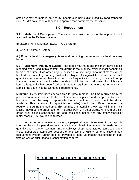small quantity of material to nearby indentors is being distributed by road transport. COS / CMM have been authorised to operate road contracts for the same.

# **5.0 Recoupment**

**5.1 Methods of Recoupment:** There are three basic methods of Recoupment which are used on the Railway systems:

(i) Maxima- Minima System (EOQ / ROL System)

(ii) Annual Estimate System

(iii) Fixing a level for emergency items and recouping the items to this level on every issue.

**5.2 Maximum- Minimum System:** The terms maximum and minimum have special meaning when used in this context. **Maximum** is the quantity, which is most economical to order at a time. If we order large quantities at a time, large amount of money will be blocked and inventory carrying cost will be higher. As against this, if we order small quantity at a time we will have to order more frequently and ordering costs will go up. Maximum aims at a quantity which tends to minimise the total costs. For high value items this quantity has been fixed as 3 months requirements where as for low value items it has been fixed as 12 months requirements.

**Minimum-** Every item needs certain time for procurement. The time required from the point recoupment is initiated till the point material is inspected and accepted is known as lead-time. It will be easy to appreciate that at the time of recoupment the stocks available (Physical stock plus quantities on order) should be sufficient to meet the requirement during the lead-time. This quantity of material is known as "Minimum". This is also known as "Re-order level" or "Re-order Point". In other words, Minimum or a Reorder level is fixed considering the lead-time consumption and any safety stocks or buffer stocks (B.S.) we decide to keep.

In the maximum minimum system, a perpetual record is required to be kept. As soon as the stocks plus dues touch the minimum level, Recoupment is made for the quantity equal to one maximum. In the Railways shop manufactured items and a few typical depot stock items are recouped on this system. Majority of items follow annual recoupment system. Buffer stock is provided to meet unforeseen fluctuations in leadtime as well as fluctuations in consumption patterns.

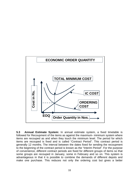

**5.3 Annual Estimate System:** In annual estimate system, a fixed timetable is followed for Recoupment of the items as against the maximum- minimum system where items are recouped as and when they touch the minimum level. The period for which items are recouped is fixed and is called "Contract Period". This contract period is generally 12 months. The interval between the dates fixed for sending the recoupment to the beginning of the contract period is known as the "Interim Period". For the purpose of convenience, different contract periods are fixed for different groups of items so that some groups are recouped in January, some in February and so on. This system is advantageous in that it is possible to combine the demands of different depots and make one purchase. This reduces not only the ordering cost but gives a better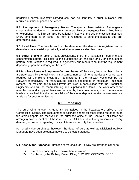bargaining power. Inventory carrying cost can be kept low if order is placed with required number of phased deliveries.

**5.4 Recoupment of Emergency Stores:** The special characteristics of emergency stores is that the demand is not regular. An upper limit or emergency limit is fixed based on experience. This limit can also be rationally fixed with the use of statistical methods. Every time there is an issue, the item is recouped to bring the stock to this predetermined level.

**5.5 Lead Time:** The time taken from the date when the demand is registered to the date when the material is physically available for use is called lead time.

**5.6 Buffer Stock:** In spite of best calculations, there is a variation in lead-time and consumption pattern. To cater to the fluctuations of lead-time and / or consumption pattern, buffer stocks are required. It is generally one month to six months requirement depending upon the category of the item.

**5.7 Purchase items & Shop manufactured items:** While a very large number of items are purchased by the Railways, a substantial number of items particularly spare parts required for the rolling stock are manufactured in the Railway workshops by the Railways themselves. The manufactured items are recouped on maximum - minimum system. The maxima and minima levels are fixed in consultation with the Production Engineers who will be manufacturing and supplying the items. The work orders for manufacture and supply of items are prepared by the stores depots, when the minimum levels are reached. It is the responsibility of the stores depots to make the raw materials available for such manufacture.

# **6.0 Purchasing**

The purchasing function is generally centralised in the headquarters office of the Controller of Stores. The recoupment or estimate sheets for stock items routed through the stores depots are received in the purchase office of the Controller of Stores for arranging procurement of all these items. The COS has full authority to scrutinize every demand, to question regarding quality of items and modify the quantities.

For small value purchases, however, the depot officers as well as Divisional Railway Managers have been delegated powers to do local purchase.

**6.1 Agency for Purchase:** Purchase of materials for Railway are arranged either as

- (1) Direct purchase by the Railway Administration
- (2) Purchase by the Railway Board, DLW, CLW, ICF, COFMOW, CORE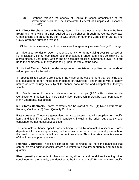(3) Purchase through the agency of Central Purchase organisation of the Government such as The Directorate General of Supplies & Disposals (DGS&D)

**6.2 Direct Purchase by the Railway:** Items which are not arranged by the Railway Board and items which are not required to be purchased through the Central Purchase Organisations are procured by the Railway directly through the Controller of Stores. The C.O.S. arranges purchase through –

1. Global tenders involving worldwide sources that generally require Foreign Exchange.

2. Advertised Tender or Open Tender (Generally for items valuing over Rs 10 lakhs). For finalisation, Tender committee recommendations (Tender committee consisting of a stores officer, a user deptt. Officer and an accounts officer at appropriate level ) are put up to the competent authority depending upon the value of the case.

3. Limited Tender/ Bulletin tender to approved / registered suppliers for demands of value upto than Rs 10 lakhs.

4. Special limited tenders are issued if the value of the case is more than 10 lakhs and it is desirable to go for limited tender instead of Advertised Tender due to vital or safety nature of item or urgency subject to finance concurrence and competent authority's sanction.

5. Single tender if there is only one source of supply (PAC - Proprietary Article Certificate) or if the item is of very small value - from Cash imprest by Cash purchase or if any Emergency has arisen.

**6.3 Stores Contracts:** Stores contracts can be classified as - (1) Rate contracts (2) Running Contracts (3) Fixed Quantity Contracts.

**Rate contracts:** These are generalised contracts entered into with suppliers for specific items and identifying all terms and conditions including the price, but quantity and consignee are not identified /specified.

The contracts authorise specific orders being placed by nominated officers of Stores department for specific quantities, on the available terms, conditions and price without the need to go through the full procurement procedure. Thus, the rate contracts save lot of time in routine purchase work.

**Running Contracts:** These are similar to rate contracts, but here the quantities that can be ordered against specific orders are limited to a maximum quantity and minimum quantity.

**Fixed quantity contracts:** In these contracts, all terms and conditions including price, consignee and the quantity are identified at the first stage itself. Hence they are specific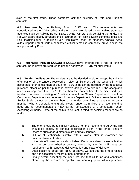even at the first stage. These contracts lack the flexibility of Rate and Running contracts.

**6.4 Purchase by the Railway Board, DLW, etc :** The requirements are consolidated in the COS's office and the indents are placed on centralized purchase agencies such as Railway Board, DLW, CORE, ICF etc. duly certifying the funds. The Railway Board mainly arranges the procurement of Rolling Stock complete units and POL including fuel. In addition Rails, fish plates, cast iron sleepers, wheels, tyres, axles, imported steel, certain nominated critical items like composite brake blocks, etc are procured by Board.

**6.5 Purchases through DGS&D:** If DGS&D have entered into a rate or running contract, the railways are required to use the agency of DGS&D for such items.

**6.6 Tender finalisation:** The tenders are to be decided to either accept the suitable offer out of all the tenders received or reject or file them. All the tenders in which acceptable offer is less than or equal to Rs 10 lakhs can be decided by the respective purchase officer as per the purchase powers delegated to him but, if the acceptable offer is valuing more than Rs 10 lakhs, then the tenders have to be discussed by a tender committee consisting of 3 officers; one from Stores Department, one from Consuming Department and one from Accounts Department. Officers below the rank of Senior Scale cannot be the members of a tender committee except the Accounts member, who is generally one grade lower. Tender Committee is a recommending body and its recommendations may/may not be accepted by a competent Tender Accepting Authority. Some of the points to be kept in mind for deciding tenders are as under:

- a. The offer should be technically suitable i.e., the material offered by the firm should be exactly as per our specification given in the tender enquiry. Offers of substandard materials are normally ignored.
- b. Out of all technically suitable offers, lowest offer is examined for reasonableness of rates.
- c. If the rate of lowest technically suitable offer is considered reasonable then it is to be seen whether delivery offered by the firm will meet our requirement with respect to delivery period and place of delivery.
- d. After satisfying about (a), (b) & (c) above, we see that the firm is reliable and has satisfactory record of past performance.
- e. Finally before accepting the offer, we see that all terms and conditions offered by the firm are acceptable. We normally, place all our purchase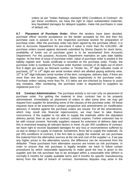orders as per "Indian Railways standard (IRS) Conditions of Contract". As per these conditions, we have the right to reject substandard materials, levy liquidated damages for delayed supplies, make risk purchases in case of default, etc.

**6.7 Placement of Purchase Order:** When the tenders have been decided, purchase officer records acceptance on the tender accepted by him and then the purchase case is passed on to the respective purchase section for preparation of purchase order. After the purchase order has been signed by the purchase officer, it is sent to Accounts Department for pre-check if value is more than Rs 4,00,000/-. All purchase orders issued against demands submitted by Stores Depots for stock items, availability of funds out of purchase grant is to be ascertained from Accounts Department. For this purpose, Accounts Department maintains an upto date liability register. At the time of issue of purchase order, value of purchase order is posted in the liability register and funds certificate is recorded on the purchase order. Finally, the purchase order is numbered. Purchase order Number consists of 16 digits out of which first 8 digits are same as Demand number or Tender No.,  $9<sup>th</sup>$  digit indicates mode of purchase,  $10<sup>th</sup>$  to  $14<sup>th</sup>$  digits are serial number which are allotted paying authority wise,  $15<sup>th</sup>$  & 16<sup>th</sup> digit indicates serial number of the item, consignee, delivery date, if there are more than one item, consignee, delivery dates respectively in the purchase order. Purchase orders valuing more than Rs. 4.0 lakhs are pre-checked by finance to avoid any mistakes. After numbering, the purchase order is dispatched to suppliers by registered post A.D.

**6.8 Contract Administration:** The purchase activity is not over only on placement of purchase order. For getting the material in time, contract has to be properly administered. Immediately on placement of orders or after some time, we may get request from supplier for amending some of the clauses of the purchase order. All these requests have to be examined in proper perspective and amendments (or modification advices), if needed against the purchase orders are issued. For all the amendments, which may result into financial repercussions, we may have to take finance concurrence. If the supplier is not able to supply the materials within the stipulated delivery period, then as per law of contract, contract expires. Further extension has to be with mutual consent. Normally suppliers request for extension of delivery date and this is examined keeping all relevant factors in mind. As per IRS conditions of contract, we have right to recover liquidated damages for any loss or inconvenience suffered by us due to delays in supply of material. Sometimes, firms fail to supply the materials. As per IRS conditions of contract, if the firm fails to supply the material, we can purchase the material from the alternative sources at the risk and cost of the supplier i.e. if we pay any higher prices to the alternative source, the difference can be recovered from the defaulter. These purchases from alternative sources are known as risk purchases. In order to ensure that risk purchase is legally tenable, we have to follow certain procedures by which reasonable opportunity to make good the loss is given to the supplier and the risk purchase has to be arranged within a reasonable time (Which is normally 6 months for readily available items and 9 months for specific manufacturing items) from the date of breach of contract. Sometimes disputes may arise in the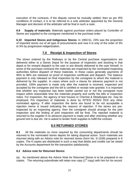execution of the contracts. If the dispute cannot be mutually settled, then as per IRS conditions of contact, it is to be referred to a sole arbitrator appointed by the General Manager and decision of the arbitrator will be final in such a case.

**6.9 Supply of materials:** Materials against purchase orders placed by Controller of Stores are supplied to the consignee mentioned in the purchase order.

**6.10 Imported Stores and Indigenous Stores:** In 1950-51, 23% was the proportion of imported stores out of all type of procurements and now it is only of the order of 3% to 5% by progressive indigenization.

# **7.0 Receipt & Inspection of Stores**

The stores ordered by the Railways or by the Central purchase organisations are delivered either to a Stores Depot for the purpose of inspection and stocking in that depot or for onward dispatch to the user or are directly delivered to the user himself. In some of the purchase contracts the materials are inspected by the nominated inspecting authorities before dispatch of these materials. In these cases generally payments of 90% to 98% are released on proof of inspection certificate and dispatch. The balance payment is only released on final inspection by the consignee to whom the material is delivered by the supplier. In cases where such a clause for advance payment is not provided, 100% payment is made only after the material is received, inspected and accepted by the consignee and the bill is certified or receipt note granted. It is important that whether any inspection has been earlier carried out or not the consignee must inspect within reasonable time the materials properly and certify the bills or inspection notes. For inspection, the agency of test houses or Chemist & Metallurgist etc. may be employed. Pre inspection of materials is done by RITES/ RDSO/ DOI/ any other nominated agency. If after inspection the items are found to be not acceptable a rejection memo is issued indicating the reasons of rejection. If the stores are preinspected by an inspecting agency, then the consignee should arrange for the joint inspection and the finding of joint inspection will be final. The rejected material is returned to the supplier if no advance payment is made and after checking whether any ground rent is due etc. He is asked to tender fresh supplies to fulfill the contract.

# **8.0 RETURNED STORES**

**8.1** All the materials no more required by the consuming departments should be returned to the nominated stores depots for taking disposal action. Such materials are returned along with an Advice note for returned stores (form No. S-1539) prepared in 6 copies. The 6 copies are distributed in such a way that debits and credits can be raised by the Accounts department for the transaction satisfactorily.

# **8.2 Advice note for Returned Stores:**

(a) As mentioned above the Advice Note for Returned Stores is to be prepared in six copies. The returning subordinate will retain one copy  $(1<sup>st</sup> copy)$  with him for his record.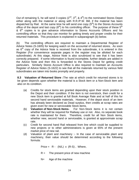Out of remaining 5, he will send 3 copies  $(2^{nd}, 3^{rd}, 8, 4^{th})$  to the nominated Stores Depot either along with the material or along with R.R./P.W. Bill, if the material has been dispatched by Rail. At the same time he will send one copy  $(5<sup>th</sup>)$  to the Stores Accounts office of the depot and last copy  $(6<sup>th</sup>)$  to his controlling officer. The purpose of these  $5<sup>th</sup>$  $8\,6<sup>th</sup>$  copies is to give advance information to Stores Accounts Officers and his controlling officer so that they can monitor for getting timely and proper credits for their returned materials. This procedure is explained in subparagraph (b) below.

(b) The controlling officers are required to maintain a Departmental Register of Advice Notes (S-1605) for keeping watch on the accountal of returned stores. As soon as  $6<sup>th</sup>$  copy of the Advice Note is received from the subordinate, it is entered in this Register (For convenience separate pages in the register may be allotted for each subordinate). At this stage, Advice Note is also scrutinized to see that it has been correctly prepared. If some information is found incomplete, further details are added in the Advice Note and then this is forwarded to the Stores Depot for getting credit particulars. Similarly Stores Account Office is also required to maintain an Accounts Register of Advice Notes (S-1622) to see that all the materials returned by various field subordinates are taken into books promptly and properly.

**8.3 Valuation of Returned Store :**The rate at which credit for returned stores is to be given depends upon whether the material is a Stock item or a Non-Stock item and also on its condition.

- (a) Credits for stock items are granted depending upon their stock position in the Depot and their condition. If the item is not overstock, then credit for a new Stock item is granted at full Book Average Rate and at half of this for second hand serviceable materials. However, if the depot stock of an item has already been declared as Dead surplus, then credits at scrap rates are given even for new or serviceable Stock items.
- (b) **Valuation of Non-Stock Items-** For Non-Stock items it is not certain whether they will be required for Railway use or not. Also, no separate book rate is maintained for them. Therefore, credit for all Non Stock items, whether new, second hand or serviceable, is granted at approximate scrap rate.
- (c) Credit for second hand Rail released from line which could be supplied to new projects or to other administrations is given at 65% of the present market price of new rail.
- (d) Valuation of plant and machinery :- In the case of serviceable plant and machinery, their value should be determined according to the following formula:

Price =  $R - (N/L) \times (R-S)$ , Where,

 $R =$  The present price of new machine

N= Age of the machine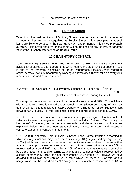- $L =$  The estimated life of the machine
- S= Scrap value of the machine

# **9.0 Surplus Stores**

When it is observed that items of Ordinary Stores have not been issued for a period of 24 months, they are then categorized as Surplus Stores. If it is anticipated that such items are likely to be used in the near future say next 24 months, it is called **Moveable surplus**. If it is established that these items will not be used on any Railway for another 24 months, it is then categorised as **Dead surplus**.

# **10.0 INVENTORY CONTROL**

**10.0 Improving Service level and Inventory Control:** To ensure continuous availability of stores to user departments while keeping the stock levels at optimum level is one of the important objectives of Stores Department. Efficiency with regard to optimum stock levels is measured by working out inventory turnover ratio on every 31st march, which is worked out as under:

Inventory Turn Over Ratio = (Total inventory balances in Rupees on  $31<sup>st</sup>$  March) -------------------------------------------------------------- \* 100 (Total value of stores issued during the year)

The target for inventory turn over ratio is generally kept around 15%. The efficiency with regards to service is worked out by compiling compliance percentage of materials against all requisitions received in Stores Department. The target for compliance is kept between 95% to 98%. For vital and safety items, the compliance is aimed at 100%.

In order to keep inventory turn over ratio and compliance figure at optimum level, selective inventory management method is used on Indian Railways. We classify the item in A-B-C category as well as vital, essential and desirable category. These are explained below. We also use standardization, variety reduction and extensive computerization for inventory management.

**10.1 A-B-C Analysis:** This analysis is based upon Pareto Principle according to which in many situations, majority of the activity (say 80%) is governed by very few (say to 20%) attributes. Hence, if in Stores all the Stock items are analysed in terms of their annual consumption - usage value, major part of total consumption value say 70% is represented by around 10% of total items, 20% of total annual usage value is controlled by 20 % of total items, and remaining 10 % of total consumption value is represented by a large number (say 70%) of small consumption value items. In Railways we have decided that all high consumption value items which represent 70% of total annual usage value, will be classified as "A" category, items which represent further 20% of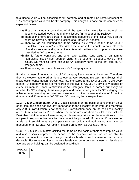total usage value will be classified as "B" category and all remaining items representing 10% consumption value will be "C" category. This analysis is done on the computer as explained below:

- (a) First of all annual issue values of all the items which were issued from all the depots are added together to find total issues (in rupees) of the Railway,
- (b) Then all the items are sorted in descending sequence of their issue value on the entire Railway (i.e. after adding issues of all individual depots),
- (c) Then we go on counting the items adding issue value of the items to a " cumulative issue value" counter. When the value in this counter represents 70% of total issues after adding a particular item, all the items from top to this item are classified as "A" category items,
- (d) This is further continued and when after adding issue value of an item to "cumulative issue value" counter, value in the counter is equal to 90% of total issues, we mark all items excluding "A" category items to the last item as "B" category items,
- (e) All remaining items are classifies as "C" category items.

For the purpose of Inventory control, "A" category items are most important. Therefore, they are closely monitored at highest level at very frequent intervals. In Railways, their stock levels, consumption forecast etc., ate monitored at the level of COS /CMM every month. "B" category items are monitored at the level of CMM/Dy.CMM every quarter or every six months. Stock verification of "A" category items is carried out every six months; for "B" category items every year and once in two years for "C" category. To achieve better inventory turn over ratio, we intend to keep average stocks of 3 months, 6 months and 12 months of "A", "B" and "C" category items respectively.

**10.2 V-E-D Classification:** A-B-C Classification is on the basis of consumption value of an item and does not give any importance to the criticality of the item and therefore, only A-B-C Classification is not adequate. Classification done on the basis of criticality of the item is known as V-E-D, where the items are classified as Vital, Essential and Desirable. Vital items are those items, which are very critical for the operations and do not permit any corrective time i.e. they cannot be procured off the shelf if they are not available. Essential items are comparatively less critical and work without them can be managed for a few days. All remaining items are known as Desirable items.

**10.3 A-B-C / V-E-D** matrix tackling the items on the basis of their consumption value and also criticality improves the service to the customer as well as we are able to control the inventory. We can design the stock levels in such a manner that is most desirable. For remaining items, service levels can be in between these two levels and average stock holdings can be designed accordingly.

| TYPE OF<br><b>ITEM</b> | $\Delta$<br>n. |  |
|------------------------|----------------|--|
|                        |                |  |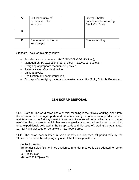|   | Critical scrutiny of<br>requirements for<br>economy | Liberal & better<br>compliance for reducing<br><b>Stock Out Costs</b> |
|---|-----------------------------------------------------|-----------------------------------------------------------------------|
| Е |                                                     |                                                                       |
| D | Procurement not to be<br>encouraged                 | Routine scrutiny                                                      |

Standard Tools for Inventory control:

- By selective management (ABC/VED/XYZ /SOS/FSN etc),
- Management by exceptions (out of stock, inactive, surplus etc.),
- Designing appropriate recoupment policies,
- Rationalisation /Standardisation,
- Value analysis,
- Codification and computerization,
- Concept of classifying materials on market availability (R, N, D) for buffer stocks.

# **11.0 SCRAP DISPOSAL**

**11.1 Scrap:** The word scrap has a special meaning in the railway working. Apart from the worn-out and damaged parts and materials arising out of operation, production and maintenance in the Railway system, scrap also includes all items, which are no longer useful for the purpose for which they were originally procured. All such scrap is required to be expeditiously collected in the scrap yards and disposed off. During the year 2011- 12, Railways disposed off scrap worth Rs. 4000 crores.

**11.2** The scrap accumulated in scrap depots are disposed off periodically by the Stores department, by adopting any one of the following methods:

- (a) Public auction
- (b) Tender Sales (Some times auction cum tender method is also adopted for better results)
- (c) Direct Sales
- (d) Sales to Employees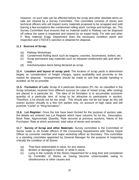However, no such sale can be effected before the scrap and other obsolete items on sale are cleared by a Survey Committee. This committee consists of stores and technical officers who will inspect every materials proposed to be scrapped and sold barring a few exceptions like condemned rolling stock, turnings and borings, etc. The Survey Committee thus ensures that no material useful to Railway can be disposed off unless the same is inspected and cleared by an expert body. For rails and other P. Way material, Engg. Department does the necessary condition report and inspection and CTE/CE's sanction is obtained for disposal.

#### **11.3 Sources of Scrap:**

- (a) Railway Workshops
- (b) Condemned Rolling stock such as wagons, coaches, locomotives, boilers, etc.
- (c) Scrap permanent way materials such as released condemned rails and other P way.
- (d) Inactive/surplus items being declared as scrap.

**11.4 Location and layout of scrap yard:** The location of scrap yards is determined largely on consideration of freight charges, space availability and proximity to the market for disposal. Arrangements should be made to see that double handling is avoided, as far as possible.

**11.5 Formation of Lots:** Scrap of a particular description (PL No. as classified in the Scrap schedule) received from different sources (in case of mixed scrap, after sorting) are placed in a particular lot. The idea of lot formation is to accumulate economic quantity of a particular item of scrap to be attractive to participants in auction. Therefore, a lot should not be too small. This should also not be too large as this will restrict auction virtually to a few rich parties only, on account of high value and will promote "Cartel" or "Ring formation".

**11.6 Lot Register:** Once the lots have been formed for the purpose of auction sale, the details are entered into Lot Register which have columns for lot No., Description, Book Rate, Approximate Quantity, Rate secured at previous auctions, Name of the Purchaser, Rate at which auctioned, total value of stores and remarks.

**11.7 Survey of Scrap and other Materials:** Survey committee is the Committee of Senior scale or JA Grade officers of the Consuming Departments with Stores Depot Officer as convener member and major workshop officer as Secretary. This committee is a standing committee appointed by General Manager for the purpose of inspecting critically the condition of all Stores:

- (a) That have deteriorated in value, for any reason,
- (b) Broken or damaged in transit, or while in stock,
- (c) Lying in the custody of the Stores Department for a long time and considered by Controller of Stores as having become unserviceable owing to obsolescence or other causes and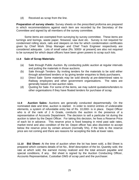(d) Received as scrap from the line.

**Preparation of survey sheets:** Survey sheets on the prescribed proforma are prepared in which recommendations against each item are recorded by the Secretary of the Committee and signed by all members of the survey committee.

 Some items are exempted from surveying by survey committee. These items are turnings and borings, waste paper, firewood, saw dust etc. Survey is not required for condemned rolling stock, rails and sleepers on line for which condemnation certificates given by Chief Work Shop Manager and Chief Track Engineer respectively are considered adequate. Lots of small value (Rs. 5000/- at present) are also not required to be surveyed for which depot officers have been given powers to scrap such lots.

#### **11.8 Sale of Scrap Materials:**

- (a) Sale through Public Auction- By conducting public auction at regular intervals and putting the materials in those auctions.
- (b) Sale through Tenders- By inviting tenders for the materials to be sold either through advertised tenders or by giving tender enquiries to likely purchasers.
- (c) Direct Sale- Some materials may be sold directly at pre-determined rates to Railway employees and other government organisations. The rates are generally based on last auction rates.
- (d) Quoting for Sale- For some of the items, we may submit quotations/tenders to other organisations if they have floated tenders for purchase of scrap.

**11.9 Auction Sales:** Auctions are generally conducted departmentally. On the nominated date and time, auction is started. In order to restrict entries of undesirable elements, a system of refundable entry fee of Rs. 10,000/- is in place. Depot Officer who is of the rank of J A Grade, conducts the auction in the presence of a representative of Accounts Department. The decision to sell a particular lot during the auction is taken by the Depot Officer. For taking this decision, he fixes a Reserve Price of each lot in advance. This reserve price is fixed keeping in mind past sale rates, market trend and also condition of the lot. Depot officer has also discretion to accept below the reserve price by certain amount (normally 5%), if the bids to the reserve price are not coming and there are reasons for accepting the bids at lower rates.

**11.10 Bid Sheet:** At the time of auction when the lot has been sold, a Bid Sheet is prepared which contains details of lot No., Brief description of the lot, Quantity sold, the rate at which sold, the earnest money realized and the total amount payable and special conditions, if any. Bid sheet is signed by the Auction Conducting Officer, Accounts Representative, Custodian DMS of scrap yard and the purchaser.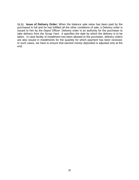**11.11 Issue of Delivery Order:** When the balance sale value has been paid by the purchased in full and he has fulfilled all the other conditions of sale, a Delivery order is issued to him by the Depot Officer. Delivery order is an authority for the purchaser to take delivery from the Scrap Yard. It specifies the date by which the delivery is to be taken. In case facility of installment has been allowed to the purchaser, delivery orders are also issued in installments for the quantity for which payment has been received. In such cases, we have to ensure that earnest money deposited is adjusted only at the end.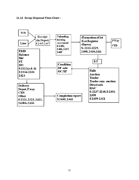#### **11.12 Scrap Disposal Flow-Chart :**

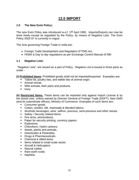# **12.0 IMPORT**

#### **1.0 The New Exim Policy:**

The new Exim Policy was introduced w.e.f. 1<sup>st</sup> April 1992. Imports/Exports can now be done freely except as regulated by the Policy, by means of Negative Lists. The Exim Policy 2002-07 is currently in vogue.

The Acts governing Foreign Trade in India are:

- Foreign Trade Development and Regulation (FTDR) Act,
- FEMA & Day to day regulations as per Exchange Control Manual of RBI

#### **1.1 Negative Lists**:

 "Negative Lists", are issued as a part of Policy. Negative List is issued in three parts as under -

**(i) Prohibited Items:** Prohibited goods shall not be imported/exported. Examples are;

- **Tallow fat, poultry fats, and edible fats of animal origin.**
- **Animal rennet.**
- **Wild animals, their parts and products.**
- **I** Ivory.

**(ii) Restricted Items:** These items can be imported only against Import License & by the actual user, unless waived by Director General of Foreign Trade (DGFT), New Delhi (and its subordinate offices), Ministry of Commerce. Examples of such items are;

- **Consumer goods.**
- Cotton, woolen, silk, manmade & blended fabrics.
- Alcoholic beverages, wine, saffron, precious, semi-precious and other stones.
- **Safety / Security related items.**
- Fire arms, ammunitions.
- Paper for security printing, currency papers.
- **Explosives.**
- Chloroform, Hydro carbons.
- Seeds, plants and animals.
- **Insecticides & Pesticides.**
- Drugs & Pharmaceuticals.
- Chemical & Allied items.
- Items related to small scale sector.
- Aircraft & Helicopters.
- **Natural rubber.**
- Rare earth oxide.
- **Naphtha**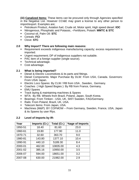**(iii) Canalized Items:** These items can be procured only through Agencies specified in the Negative List. However CCI&E may grant a license to any other person to import/export. Examples are;

- Petroleum Product, Aviation fuel, Crude oil, Motor spirit, High speed diesel: **IOC**
- Nitrogenous, Phosphatic and Potassic, –Fertilizers, Potash: **MMTC & STC**
- Coconut oil, Palm Oil: **STC**
- Cereals: **FCI**
- Clove: **STC**

#### **2.0 Why Import? There are following main reasons:**

- Requirement exceeds indigenous manufacturing capacity; excess requirement is imported.
- Urgent requirement; DP of indigenous suppliers not suitable.
- PAC item of a foreign supplier (single source).
- **Technical advantage.**
- Cost advantage.

#### **2.1 What is being imported?**

- Diesel & Electric Locomotives & its parts and fittings.
- Diesel Components: Major Purchase By DLW: From USA, Canada. Governors: From USA/ Japan.
- **Electric Loco Spares: By CLW / RB from USA, Sweden, Germany.**
- Coaches ( High Speed Bogies ): By RB from France, Germany.
- **EMU Spares**
- **Track laying & maintaining machines & Spares**
- WTA: By RB. Wheels from Brazil, Poland, Japan, South Korea.
- **Bearings: From Timken USA, UK, SKF/ Sweden, FAG/Germany.**
- **Rails: From Poland, Brazil, UK, USA.**
- **Telecom Items: From Japan, USA.**
- Machines (M&P): BY COFMOW From Germany, Sweden, France, USA, Japan & its Spares by user Rlys.

#### **2.2 Level of Imports by IR:**

| Year    | Imports (Cr.) | Total (Cr.) | %age of Imports |
|---------|---------------|-------------|-----------------|
| 1950-51 | 18.40         | 81.60       | 23.0            |
| 1960-61 | 19.80         | 177.90      | 11.0            |
| 1970-71 | 32.60         | 363.70      | 9.0             |
| 1980-81 | 143.80        | 1377.10     | 10.4            |
| 1990-91 | 440.10        | 5189.30     | 8.4             |
| 2000-01 | 462.00        | 10835.00    | 4.3             |
| 2001-02 | 385.16        | 10950.00    | 3.5             |
| 2006-07 | 594.00        | 18651.00    | 3.2             |
| 2007-08 | 630.00        | 21982.00    | 2.9             |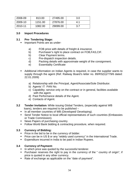| 2008-09 | 813.00  | 27495.00 | 3.0 |
|---------|---------|----------|-----|
| 2009-10 | 1151.00 | 27876.00 | 4.1 |
| 2010-11 | 1082.00 | 29099.00 | 3.7 |

#### **3.0 Import Procedures**

#### **3.1 Pre- Tendering Stage:**

- **Important Points are as under**
	- a) FOB price with details of freight & insurance.
	- b) Purchaser's right to place contract on FOB,FAS,CIF.
	- b) Clear Payment terms.
	- c) Pre-dispatch inspection details.
	- d) Packing details with approximate weight of the consignment.
	- e) Essentiality Certificate
- Additional information on Indian Agents is required, in case the supplier wants to supply through the agent (Ref. Railway Board's letter no. 89/RS(G)/779/6 dated: 22.01.2009)
	- a) Relationship with the Principal, Agent/Associate/Sole Distributor.
	- b) Agents' IT PAN No.
	- c) Capability; service only on the contract or in general, facilities available with the agent.
	- d) Past Performance details of the Agent.
	- e) Contacts of Agent.
- **3.2 Tender Invitation:** While issuing Global Tenders, (especially against WB loans), tenders are required to be published –
	- In all member countries of WB (Developed/ Developing).
	- Send Tender Notice to local official representatives of such countries (Embassies or Trade Commission).
	- **News Papers of purchasing country.**
	- **Follow World Bank bidding & contracting procedure, when required.**

#### **3.3 Currency of Bidding:**

- Price in the bid to be in the currency of bidder.
- **Price can be in US \$ or any "widely used currency" in the International Trade.**
- **Expenditure incurred in India to be paid in Indian Rupees.**

#### **3.4 Currency of Payment:**

- In which price was quoted by the successful tenderer.
- **Purchaser reserves the right to pay in the currency of the " country of origin", if** price is quoted in any other currency.
- Rate of exchange as applicable on the "date of payment".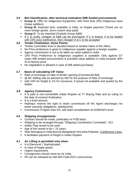# **3.5 Bid Classification, after technical evaluation (WB funded procurement):**

- **Group A:** Offer for indigenous Equipment, with more than 20% indigenous input (Value addition).
- **Group B:** Imported item, available in India, on Rupee payment (These are no more foreign goods, since custom duty paid).
- **Group C:** To be imported (Outside Group A&B).
- If C is costly, cheaper of A&B can be purchased. If C is lowest, A to be loaded with 15% price preference, then cheaper A & C to be accepted

#### **3.6 Tender Finalization, Some Points:**

- **Tender Committee level is decided based on landed Value of the offers.**
- No Price preference is given to indigenous supplier against a foreign supplier.
- Agency commission is not to be taken as value added in India.
- **15% Price Preference to indigenous suppliers is available: Only against GT** under WB funded procurements & provided value addition in India exceeds 30% of ex-factory price.
- No negotiation is allowed in case of WB aided purchases.

#### **3.7 Basis of calculating CIF Value:**

- Rate of exchange on date of tender opening (Commercial Bid).
- @ BC Selling rate as advised by SBI for the purpose of Rate of exchange.
- Add 10% for freight & 1% for insurance, if actual not available and quoted by the bidder.

#### **3.8 Agency Commission:**

- It is paid in non-convertible Indian Rupees at TT Buying Rate and as ruling on the date of contract finalization.
- $\blacksquare$  It is a fixed amount.
- Railways reserve the right to retain commission till the Agent discharges his entire warranty obligations, satisfactorily.
- Commission if higher than 5%, will need consideration at AGM/GM's level.

#### **4.0 Shipping Arrangements:**

- **Contract should be made, preferably on FOB basis.**
- Shipping to be arranged through "Shipping Coordination Committee", SCI.
- Indian Flag vessel to be used.
- Age of the vessel to be  $< 15$  years.
- Ship belonging to India-Burma-Bangadesh-SriLanka-Pakistan, Conference Lines.
- It facilitates payment of freight in Indian Rupees

#### **4.1 Air Lifting is permitted only when:**

- It is Electronic / Sophisticated.
- $\blacksquare$  In case of fragile goods.
- **Urgent requirement.**
- **Consignment should move by Air India.**
- FE can be released by GM with FA&CAO's concurrence.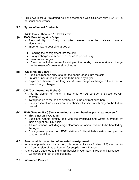Full powers for air freighting as per acceptance with COS/GM with FA&CAO's personal concurrence.

#### **5.0 Types of Import Contracts:**

INCO terms- There are 13 INCO terms.

#### **(i) FAS (Free Alongside Ship):**

- Responsibility of foreign supplier ceases once he delivers material alongshore.
- $\blacksquare$  Importer has to bear all charges of  $$ 
	- i. Loading the consignment into the ship
	- ii. Freight charges from port of dispatch to port of entry.
- iii. Insurance charges.
- iv. Can choose Indian vessel for shipping the goods, to save foreign exchange to the extent of ocean foreign charges.

#### **(ii) FOB (Free on Board):**

- **Supplier's responsibility is to get the goods loaded into the ship.**
- Freight & Insurance charges are to be borne by buyer.
- Buyer can choose Indian Flag ship & save foreign exchange to the extent of ocean foreign charges.

#### **(iii) CIF (Cost Insurance Freight):**

- Add the element of Freight & Insurance to FOB contract & it becomes CIF contract.
- Total price up to the port of destination is the contract price here.
- Supplier sometimes insists on their choice of vessel, which may not be Indian Vessel.

# **(iv) FOR (Free on Rail) [Only when Indian agent handles port clearance etc.]:**

- This is not an INCO term.
- Supplier's Agents directly deal with the Principals and Offers submitted by Indian Agent on FOR basis.
- All transactions, including cargo clearance at Indian Port are to be handled by the Agent.
- Consignment placed on FOR station of dispatch/destination as per the contract condition.

# **6.0 Pre-dispatch Inspection of Imported consignment:**

- In case of pre-dispatch inspection, it is done by Railway Advisor (RA) attached to High Commission of India, London for supplies from Europe.
- RAs are also attached to Indian Embassies in Germany, Switzerland & France.
- **RITES covers the rest of the locations.**

#### **7.0 Insurance Policies:**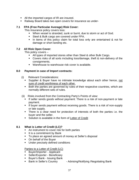- All the imported cargos of IR are insured.
- Railway Board takes two open covers for insurance as under-

#### **7.1 FPA (Free Particular Average) Risk Cover:**

This Insurance policy covers loss:

- When vessel is stranded, sunk or burnt, due to storm or act of God.
- Steel & Bulk cargo are covered under FPA.
- In items of this policy claim for total loss only are entertained & not for damage or short landing etc.

#### **7.2 All Risk Open Cover:**

This policy covers –

- All types of imported stores other than Steel & other Bulk Cargo.
- Covers risks of all sorts including loss/damage, theft & non-delivery of the consignments.
- **Warehouse to warehouse risk cover is available.**

#### **8.0 Payment in case of Import contracts:**

- (i) Relevant Considerations:
	- **Supplier & Buyer have no intimate knowledge about each other hence, not** sure of credit worthiness of each other.
	- Both the parties are governed by rules of their respective countries, which are normally different sets of rules.
- (ii) Risks involved from the Contracting Party's Points of view:
	- If seller sends goods without payment: There is a risk of non-payment or late payment.
	- If buyer sends payment without receiving goods. There is a risk of non-supply or late supply.
	- There is a clear need for protection of interests of both the parties i.e. the buyer and the seller.
	- **Solution is available in the form of Letter of Credit**

#### **8.1 What is Letter of Credit (LC)?**

- **An instrument to cover risk for both parties**
- $\blacksquare$  It is a commitment by Bank
- To place an agreed amount of money at Seller's disposal
- On behalf of the Buyer
- **Under precisely defined conditions**

#### Parties to a Letter of Credit (LC)

- **Buyer/Importer Applicant**
- **Seller/Exporter Beneficiary**
- **Buyer's Bank Issuing Bank**
- **Bank in Seller's Country Advising/Notifying /Negotiating Bank**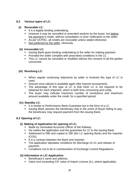#### **8.2 Various types of LC:**

#### **(i) Revocable LC:**

- $\blacksquare$  It is a legally binding undertaking.
- **However it may be cancelled or amended anytime by the buyer, but before** the payment is made, without consultation or prior notification to the seller.
- As per UCPDC, all credits are revocable unless stated otherwise.
- Not preferred by the seller, obviously.

#### **(ii) Irrevocable LC:**

- **ISSUMBER 19 ISSUMBER 15 ISS 2015** ISSUING ISSUING BANK ISSUING BAYMENT.
- **Provided the seller complies with prescribed conditions in the LC.**
- This LC cannot be cancelled or modified without the consent of all the parties concerned.

#### **(iii) Revolving LC:**

- When regular continuing shipments by seller is involved this type of LC is used.
- **Amount once utilized is available again (like Imprest recoupment).**
- The advantage of this type of LC is that fresh LC is not required to be obtained for each shipment, which is both time consuming and costly.
- The buyer may indicate maximum number of revolutions and maximum amount available under the credit, for a specified period.

#### **(iv) Standby LC:**

- It is similar to Performance Bank Guarantee but in the form of a LC.
- Issuing Bank assures the beneficiary that in the event of Buyer failing to pay, the beneficiary may request payment from the issuing Bank.

#### **8.3 Opening of LC:**

#### **(i) Making of Application for opening of LC:**

- **Made by nominated Accounts Officer of the Railway.**
- He makes the application and the quarantee for LC to the issuing Bank.
- Addressed to RBI and copied to SBI (the LC opening Bank) and the Importer (COS).
- It is a contract between the Bank and Importer.
- The application stipulates conditions for discharge of L/C and release of payment.
- Conditions not to be in contravention of Exchange Control Regulations.

# **(ii) Information in L/C Application:**

- Beneficiary's name and address,
- Value (not exceeding CIF value of Import License (IL), where applicable),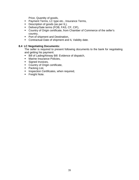Price, Quantity of goods,

- **Payment Terms, LC type etc., Insurance Terms,**
- Description of goods (as per IL),
- Delivery/Sale terms (FOB, FAS, CF, CIF),
- Country of Origin certificate, from Chamber of Commerce of the seller's country,
- **Port of shipment and Destination,**
- **Contractual Date of shipment and IL Validity date.**

#### **8.4 LC Negotiating Documents:**

The seller is required to present following documents to the bank for negotiating and getting his payment:

- **Bill of Lading/Airway Bill: Evidence of dispatch,**
- **Marine Insurance Policies,**
- Signed Invoices,
- Country of Origin certificate,
- Packing List,
- **Inspection Certificates, when required,**
- **Freight Note.**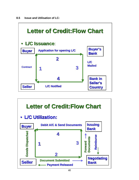

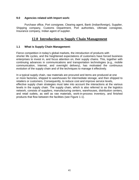#### **9.0 Agencies related with Import work:**

Purchase office, Port consignee, Clearing agent, Bank (Indian/foreign), Supplier, Shipping company, Customs Department, Port authorities, Ultimate consignee, Insurance company, Indian agent of supplier.

# **12.0 Introduction to Supply Chain Management**

#### **1.1 What is Supply Chain Management:**

Fierce competition in today's global markets, the introduction of products with shorter life cycles, and the heightened expectations of customers have forced business enterprises to invest in, and focus attention on, their supply chains. This, together with continuing advances in communications and transportation technologies (e.g., mobile communication, Internet, and overnight delivery), has motivated the continuous evolution of the supply chain and of the techniques to manage it effectively.

In a typical supply chain, raw materials are procured and items are produced at one or more factories, shipped to warehouses for intermediate storage, and then shipped to retailers or customers. Consequently, to reduce cost and improve service levels, effective supply chain strategies must take into account the interactions at the various levels in the supply chain. The supply chain, which is also referred to as the logistics network, consists of suppliers, manufacturing centers, warehouses, distribution centers, and retail outlets, as well as raw materials, work-in-process inventory, and finished products that flow between the facilities (see Figure 1-1).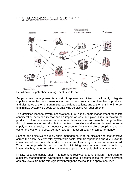# DESIGNING AND MANAGING THE SUPPLY CHAIN



Definition of supply chain management is as follows:

Supply chain management is a set of approaches utilized to efficiently integrate suppliers, manufacturers, warehouses, and stores, so that merchandise is produced and distributed at the right quantities, to the right locations, and at the right time, in order to minimize systemwide costs while satisfying service level requirements.

This definition leads to several observations. First, supply chain management takes into consideration every facility that has an impact on cost and plays a role in making the product conform to customer requirements: from supplier and manufacturing facilities through warehouses and distribution centers to retailers and stores. Indeed, in some supply chain analysis, it is necessary to account for the suppliers' suppliers and the customers' customers because they have an impact on supply chain performance.

Second, the objective of supply chain management is to be efficient and cost-effective across the entire system; total systemwide costs, from transportation and distribution to inventories of raw materials, work in process, and finished goods, are to be minimized. Thus, the emphasis is not on simply minimizing transportation cost or reducing inventories but, rather, on taking a systems approach to supply chain management.

Finally, because supply chain management revolves around efficient integration of suppliers, manufacturers, warehouses, and stores, it encompasses the firm's activities at many levels, from the strategic level through the tactical to the operational level.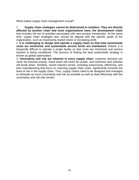What makes supply chain management crucial?

1. **Supply chain strategies cannot be determined in isolation. They are directly affected by another chain that most organizations have, the development chain**  that includes the set of activities associated with new product introduction. At the same time, supply chain strategies also should be aligned with the specific goals of the organization, such as maximizing market share or increasing profit.

2. **It is challenging to design and operate a supply chain so that total systemwide costs are minimized, and systemwide service levels are maintained**. Indeed, it is frequently difficult to operate a single facility so that costs are minimized and service lsystem is being considered. The process of finding the best systemwide strategy is known as global optimization.

3. **Uncertainty and risk are inherent in every supply chain**; customer demand can never be forecast exactly, travel times will never be certain, and machines and vehicles will break down. Similarly, recent industry trends, including outsourcing, offshoring, and lean manufacturing that focus on reducing supply chain costs, significantly increase the level of risk in the supply chain. Thus, supply chains need to be designed and managed to eliminate as much uncertainty and risk as possible as well as deal effectively with the uncertainty and risk that remain.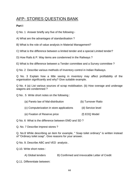# AFP- STORES QUESTION BANK

#### **Part I**

Q No. 1 Answer briefly any five of the following:-

A) What are the advantages of standardisation ?

B) What is the role of value analysis in Material Management?

C) What is the difference between a limited tender and a special Limited tender?

D) How Rails & P. Way items are condemned in the Railways ?

E) What is the difference between a Tender committee and a Survey committee ?

Q No. 2 Describe various methods of Inventory control in Indian Railways.

Q No. 3 Explain how a little saving in inventory may affect profitability of the organisation significantly and why? Give suitable example.

Q No. 4 (a) List various sources of scrap mobilisation. (b) How overage and underage wagons are condemned ?

Q No . 5 Write short notes on the following :

- (a) Pareto law of Mal-distribution (b) Turnover Ratio
- (c) Computerization in store applications (d) Service level
- (e) Fixation of Reserve price (f) EOQ Model

Q No. 6 What is the difference between EMD and SD ?

Q. No. 7 Describe imprest stores ?

Q. No.8 While describing an item for example, " Soap toilet ordinary" is written instead of "Ordinary toilet soap". Give reasons for your answer.

Q No. 9. Describe ABC and VED analysis .

Q.10. Write short notes :

A) Global tenders B) Confirmed and irrevocable Letter of Credit

Q.11. Differentiate between: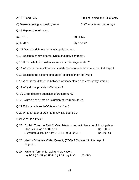A) FOB and FAS B) Bill of Lading and Bill of entry

C) Bankers buying and selling rates D) Wharfage and demurrage

- Q.12 Expand the following:
- (a) DGFT (b) FERA
- (c) MMTC (d) DGS&D
- Q. 13 Describe different types of supply tenders.
- Q.14 Describe briefly different types of supply contracts ?
- Q.15 Under what circumstances we can invite singe tender ?
- Q.16 What are the functions of materials Management department on Railways ?
- Q.17 Describe the scheme of material codification on Railways.
- Q.18 What is the difference between ordinary stores and emergency stores ?
- Q.19 Why do we provide buffer stock ?
- Q. 20 Enlist different agencies of procurement?
- Q. 21 Write a short note on valuation of returned Stores.
- Q.22 Enlist any three INCO terms (full form).
- Q.23 What is letter of credit and how it is opened ?
- Q.24 What is a PAC ?
- Q.25 Explain Turnover Ratio? Calculate turnover ratio based on following data Stock value as on 30.09.11- Rs. 20 Cr Current total issues from 01.04.11 to 30.09.11- Rs. 100 Cr
- Q.26 What is Economic Order Quantity (EOQ) ? Explain with the help of diagram.
- Q.27 Write full form of following abbreviation:- (a) FOB (b) CIF (c) FOR (d) FAS (e) RLO  $(f)$  CRS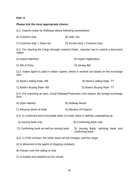#### **Part- II**

#### **Please tick the most appropriate choice:**

Q.1. Imports made by Railways attract following taxes/duties:

- A) Customs duty B) Sale Tax
- C) Customs duty + Sales tax D) Excise duty + Customs duty

Q.2. For clearing the Cargo through customs Deptt., importer has to submit a document called:

| A) Import Manifest | B) Import Application |
|--------------------|-----------------------|
| C) Bill of Entry   | D) Airway Bill        |

Q.3. Indian agent is paid in Indian rupees, which is worked out based on the exchange rate:

| A) Bank's selling Rate- Bill | B) Bank's selling Rate-TT |
|------------------------------|---------------------------|
|                              |                           |

C) Bank's Buying Rate- Bill D) Bank's Buying Rate- TT

Q.4. For importing an item, Zonal Railway/Production Unit obtains the foreign exchange from :

| A) Open Market | B) Railway Board |
|----------------|------------------|
|                |                  |

C) Reserve Bank of India D) Ministry of Finance

Q.5. In confirmed and irrevocable letter of credit, there is definite undertaking by:

- A) Issuing bank only B) Confirming bank only
- C) Confirming bank as well as issuing bank D) Issuing Bank, advising bank and confirming bank

Q.6. In FOB contract, the seller bears all the charges until the cargo:

- A) Is delivered to the agent of shipping company
- B) Passes over the railing of ship
- C) Is loaded and stacked on the vessel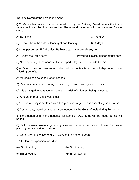D) Is delivered at the port of shipment

Q.7. Marine Insurance contract entered into by the Railway Board covers the inland transportation to the final destination. The normal duration of insurance cover for sea cargo is:

A) 150 days B and the state of the state of the state  $\mathsf B$  and  $\mathsf B$  120 days

C) 90 days from the date of landing at port landing D) 60 days

Q.8. As per current EXIM policy, Railways can Import freely any item :

A) Except restricted items B) Provided it is actual user of that item

C) Not appearing in the negative list of import D) Except prohibited items

Q.9. Open cover for insurance is decided by the Rly Board for all shipments due to following benefits:

A) Materials can be kept in open spaces

B) Materials are covered during shipment by a protective layer on the ship.

C) It is arranged in advance and there is no risk of shipment being uninsured

D) Amount of premium is very small

Q.10. Exam policy is declared as a five years package. This is essentially so because: -

A) Custom duty would continuously be reduced by the Govt. of India during this period.

B) No amendments in the negative list items or OGL items will be made during this period.

C) Duly focuses towards general guidelines for an export import house for proper planning for a sustained business.

D) Generally PM's office tenure in Govt. of India is for 5 years.

Q.11. Correct expansion for B/L is

(a) Bill of landing (b) Bill of lading

(c) Bill of leading (d) Bill of loading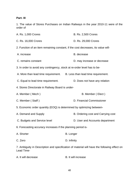# **Part- III**

1. The value of Stores Purchases on Indian Railways in the year 2010-11 were of the order of

| A. Rs. 1,000 Crores                                                               | <b>B. Rs. 2,500 Crores</b>                                                                  |  |
|-----------------------------------------------------------------------------------|---------------------------------------------------------------------------------------------|--|
| C. Rs. 16,000 Crores                                                              | D. Rs. 29,000 Crores                                                                        |  |
| 2. Function of an item remaining constant, if the cost decreases, its value will- |                                                                                             |  |
| A. increase                                                                       | B. decrease                                                                                 |  |
| C. remains constant                                                               | D. may increase or decrease                                                                 |  |
| 3. In order to avoid any contingency, stock at re-order level has to be-          |                                                                                             |  |
| A. More than lead time requirement. B. Less than lead time requirement.           |                                                                                             |  |
| C. Equal to lead time requirement.                                                | D. Does not have any relation                                                               |  |
| 4. Stores Directorate in Railway Board is under-                                  |                                                                                             |  |
| A. Member (Mech)                                                                  | B. Member (Elect)                                                                           |  |
| C. Member (Staff)                                                                 | D. Financial Commissioner                                                                   |  |
| 5. Economic order quantity (EOQ) is determined by optimizing between-             |                                                                                             |  |
| A. Demand and Supply                                                              | B. Ordering cost and Carrying cost                                                          |  |
| C. Budgets and Service level                                                      | D. User and Accounts department                                                             |  |
| 6. Forecasting accuracy increases if the planning period is-                      |                                                                                             |  |
| A. Shorter                                                                        | <b>B.</b> Longer                                                                            |  |
| C. Zero                                                                           | D. Infinity                                                                                 |  |
| Lead Time-                                                                        | 7. Ambiguity in Description and specification of material will have the following effect on |  |

A. It will decrease B. It will increase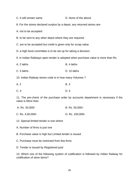C. It will remain same D. None of the above

8. For the stores declared surplus by a depot, any returned stores are-

A. not to be accepted.

B. to be sent to any other depot where they are required.

C. are to be accepted but credit is given only for scrap value.

D. a high level committee is to be set up for taking a decision.

9. In Indian Railways open tender is adopted when purchase value is more than Rs.

| A. 2 lakhs | B. 4 lakhs |
|------------|------------|
|            |            |

C. 5 lakhs D. 10 lakhs

10. Indian Railway stores code is in how many Volumes ?

| A. 2 | <b>B.3</b> |
|------|------------|
| C.4  | D. 5       |

11. The pre-check of the purchase order by accounts department is necessary if the value is More than

| A. Rs. 20,000/- | B. Rs. 50,000/- |
|-----------------|-----------------|
|-----------------|-----------------|

C. Rs. 4,00,000/- D. Rs. 100,000/-

12. Special limited tender is one where

A. Number of firms is just one

B. Purchase value is high but Limited tender is issued

C. Purchase must be restricted from few firms

D. Tender is issued by Registered post

13. Which one of the following system of codification is followed by Indian Railway for codification of store items?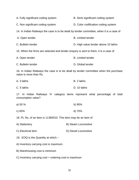| A. Fully significant coding system                                                                             | B. Semi significant coding system                                                        |  |
|----------------------------------------------------------------------------------------------------------------|------------------------------------------------------------------------------------------|--|
| C. Non significant coding system                                                                               | D. Color codification coding system                                                      |  |
|                                                                                                                | 14. In Indian Railways the case is to be dealt by tender committee, when it is a case of |  |
| A. Open tender                                                                                                 | <b>B.</b> Limited tender                                                                 |  |
| C. Bulletin tender                                                                                             | D. High value tender above 10 lakhs                                                      |  |
| 15. When the firms are selected and tender enquiry is sent to them, it is a case of                            |                                                                                          |  |
| A. Open tender                                                                                                 | <b>B.</b> Limited tender                                                                 |  |
| C. Bulletin tender                                                                                             | D. Global tender                                                                         |  |
| 16. In Indian Railways the case is to be dealt by tender committee when the purchase<br>value is more than Rs. |                                                                                          |  |
| A. 3 lakhs                                                                                                     | B. 2 lakhs                                                                               |  |
| C. 5 lakhs                                                                                                     | D. 10 lakhs                                                                              |  |
| 17. In Indian Railways 'A' category items represent what percentage of total<br>consumption value?             |                                                                                          |  |
| a) 50 $%$                                                                                                      | b) 90%                                                                                   |  |
| c) $65%$                                                                                                       | d) 70%                                                                                   |  |
| 18. PL No. of an item is 11360010. This item may be an item of                                                 |                                                                                          |  |
| A) Stationery                                                                                                  | B) Steam Locomotive                                                                      |  |
| C) Electrical item                                                                                             | D) Diesel Locomotive                                                                     |  |
| 19. EOQ is the Quantity at which -                                                                             |                                                                                          |  |
| A) Inventory carrying cost is maximum                                                                          |                                                                                          |  |
| B) Warehousing cost is minimum                                                                                 |                                                                                          |  |
| C) Inventory carrying cost + ordering cost is maximum                                                          |                                                                                          |  |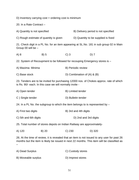D) Inventory carrying cost + ordering cost is minimum

20. In a Rate Contract –

A) Quantity is not specified B) Delivery period is not specified

C) Rough estimate of quantity is given D) Quantity to be supplied is fixed

21. Check digit in a PL No. for an item appearing at SL.No. 181 in sub group 02 in Main Group 00 will be –

A) 8 B) 5 C) 3 D) 7

22. System of Recoupment to be followed for recouping Emergency stores is –

- A) Maxima- Minima B) Periodic review
- C) Base stock D) Combination of (A) & (B)

23. Tenders are to be invited for purchasing 12000 nos. of Chokes approx. rate of which is Rs. 90/- each. In this case we will normally invite -

| A) Open tender | B) Limited tender |
|----------------|-------------------|
|----------------|-------------------|

C ) Single tender D) Bulletin tender

24. In a PL No. the subgroup to which the item belongs to is represented by –

- A) First two digits B) 3rd and 4th digits
- C) 5th and 6th digits D) 2nd and 3rd digits

25. Total number of stores depots on Indian Railway are approximately-

A) 120 B) 20 C) 230 D) 320

26. At the time of review, it is revealed that an item is not issued to any user for past 26 months but the item is likely be issued in next 22 months. This item will be classified as –

| A) Dead Surplus     | C) Custody stores |
|---------------------|-------------------|
| B) Moveable surplus | D) Imprest stores |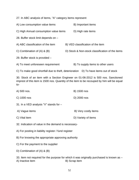27. In ABC analysis of items, "A" category items represent

| A) Low consumption value items                                                                                                                                                  | B) Important items                                                                  |
|---------------------------------------------------------------------------------------------------------------------------------------------------------------------------------|-------------------------------------------------------------------------------------|
| C) High Annual consumption value items                                                                                                                                          | D) High rate items                                                                  |
| 28. Buffer stock limit depends on -                                                                                                                                             |                                                                                     |
| A) ABC classification of the item                                                                                                                                               | B) VED classification of the item                                                   |
| C) Combination of $(A)$ & $(B)$                                                                                                                                                 | D) Stock & Non-stock classification of the items                                    |
| 29. Buffer stock is provided -                                                                                                                                                  |                                                                                     |
| A) To meet unforeseen requirement                                                                                                                                               | B) To supply items to other users                                                   |
|                                                                                                                                                                                 | C) To make good shortfall due to theft, deterioration D) To have items out of stock |
| 30. Stock of an item with a Section Engineer on 01-06-2012 is 500 nos. Sanctioned<br>imprest of this item is 1500 nos. Quantity of the item to be recouped by him will be equal |                                                                                     |

A) 500 nos. B) 1500 nos

to-

- C) 1000 nos D) 2000 nos
- 31. In a VED analysis "V" stands for –
- A) Vague items B) Very costly items
- 

C) Vital item D) Variety of items

32. Indication of value in the demand is necessary-

- A) For posting in liability register / fund register
- B) For knowing the appropriate approving authority
- C) For the payment to the supplier
- D) Combination of (A) & (B)

33. Item not required for the purpose for which it was originally purchased is known as – A) Inactive item B) Scrap item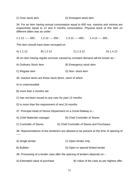C) Over stock item D) Emergent stock item

34. For an item having annual consumption equal to 600 nos. maxima and minima are respectively equal to 12 and 8 months consumption. Physical stock of this item on different dates was as under :

1.1.12 ----- 500 ; 1.2.12 ---- 450 ; 1.3.12 -----400 ; 1.4.12 ---- 300 ;

This item should have been recouped on

A) 1.1.12 B) 1.2.12 C) 1.3.12 D) 1.4.12

35 An item having regular turnover caused by constant demand will be known as –

- A) Ordinary Stock Item B) Emergency stock item
- C) Regular item D) Non- stock item
- 36. Inactive items are those stock items, stock of which
- A) is unserviceable
- B) more than 3 months old
- C) has not been issued to any user for past 12 months
- D) is more than the requirement of next 24 months
- 37. Principal Head of Stores Department on a Zonal Railway is –
- A) Chief Materials manager B) Chief Controller of Stores
- C) Controller of Stores D) Chief Controller of Stores and Purchases

38. Representatives of the tenderers are allowed to be present at the time of opening of -----

- A) Single tender C) Open tender only
- B) Bulletin D) Open or special limited tender
- 39. Processing of a tender case after the opening of tenders depends on –
- A) Estimated value of purchase B) Value of the case as per highest offer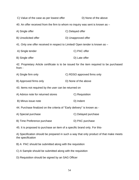| C) Value of the case as per lowest offer                                                                    | D) None of the above        |
|-------------------------------------------------------------------------------------------------------------|-----------------------------|
| 40. An offer received from the firm to whom no inquiry was sent is known as -                               |                             |
| A) Single offer                                                                                             | C) Delayed offer            |
| B) Unsolicited offer                                                                                        | D) Unapproved offer         |
| 41. Only one offer received in respect to Limited/ Open tender is known as -                                |                             |
| A) Single tender                                                                                            | C) PAC offer                |
| B) Single offer                                                                                             | D) Late offer               |
| 42. Proprietary Article certificate is to be issued for the item required to be purchased<br>from -         |                             |
| A) Single firm only                                                                                         | C) RDSO approved firms only |
| B) Approved firms only                                                                                      | D) None of the above        |
| 43. Items not required by the user can be returned on                                                       |                             |
| A) Advice note for returned stores                                                                          | C) Requisition              |
| B) Minus issue note                                                                                         | D) Indent                   |
| 44. Purchase finalized on the criteria of "Early delivery" is known as -                                    |                             |
| A) Special purchase                                                                                         | C) Delayed purchase         |
| B) Time Preference purchase                                                                                 | D) PAC purchase             |
| 45. It is proposed to purchase an item of a specific brand only. For this-                                  |                             |
| A) Specification should be prepared in such a way that only product of that make meets<br>the specification |                             |

B) A PAC should be submitted along with the requisition

C) A Sample should be submitted along with the requisition

D) Requisition should be signed by an SAG Officer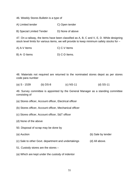46. Weekly Stores Bulletin is a type of

A) Limited tender C) Open tender

B) Special Limited Tender D) None of above

47. On a railway, the items have been classified as A, B, C and V, E, D. While designing stock level limits for various items, we will provide to keep minimum safety stocks for –

A) A-V Items C) C-V Items

B) A- D Items D) C-D Items.

48. Materials not required are returned to the nominated stores depot as per stores code para number

(a) S - 1539 (b) DS-8 (c) NS-11 (d) SS-11

49. Survey committee is appointed by the General Manager as a standing committee consisting of

(a) Stores officer, Account officer, Electrical officer

(b) Stores officer, Account officer, Mechanical officer

- (c) Stores officer, Account officer, S&T officer
- (d) None of the above
- 50. Disposal of scrap may be done by
- (a) Auction (b) Sale by tender

- (c) Sale to other Govt. department and undertakings (d) All above.
- 51. Custody stores are the stores –
- (a) Which are kept under the custody of indentor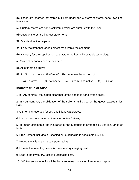(b) These are charged off stores but kept under the custody of stores depot awaiting future use.

- (c) Custody stores are non stock items which are surplus with the user
- (d) Custody stores are imprest stock items
- 52. Standardisation helps in
- (a) Easy maintenance of equipment by suitable replacement
- (b) It is easy for the supplier to manufacture the item with suitable technology
- (c) Scale of economy can be achieved
- (d) All of them as above
- 53. PL No. of an item is 98-05-0400. This item may be an item of
	- (a) Uniforms (b) Stationery (c) Steam Locomotive (d) Scrap

#### **Indicate true or false-**

1 In FAS contract, the export clearance of the goods is done by the seller.

2. In FOB contract, the obligation of the seller is fulfilled when the goods passes ships Rail.

- 3. CIF term is reserved for sea and inland waterways.
- 4. Loco wheels are imported items for Indian Railways.

5. In import shipments, the insurance of the Materials is arranged by Life Insurance of India.

6. Procurement includes purchasing but purchasing is not simple buying.

- 7. Negotiations is not a must in purchasing.
- 8. More is the inventory, more is the inventory carrying cost.
- 9. Less is the inventory, less is purchasing cost.
- 10. 100 % service level for all the items requires blockage of enormous capital.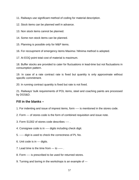11. Railways use significant method of coding for material description.

12. Stock items can be planned well in advance.

13. Non stock items cannot be planned.

14. Some non stock items can be planned.

15. Planning is possible only for M&P items.

16. For recoupment of emergency items Maxima / Minima method is adopted.

17. At EOQ point total cost of material is maximum.

18. Buffer stocks are provided to cater for fluctuations in lead-time but not fluctuations in consumption pattern.

19. In case of a rate contract rate is fixed but quantity is only approximate without specific commitment.

20. In running contract quantity is fixed but rate is not fixed.

21. Railways' bulk requirements of POL items, steel and coaching paints are processed by DGS&D.

# **Fill in the blanks –**

- 1. For indenting and issue of imprest items, form ---- is mentioned in the stores code.
- 2. Form --- of stores code is the form of combined requisition and issue note.
- 3. Form S1302 of stores code describes ---- .
- 4. Consignee code is in ---- digits including check digit.
- 5. ----- digit is used to check the correctness of PL No.
- 6. Unit code is in --- digits.
- 7. Lead time is the time from --- to ----- .
- 8. Form ---- is prescribed to be used for returned stores.
- 9. Turning and boring in the workshops is an example of ---